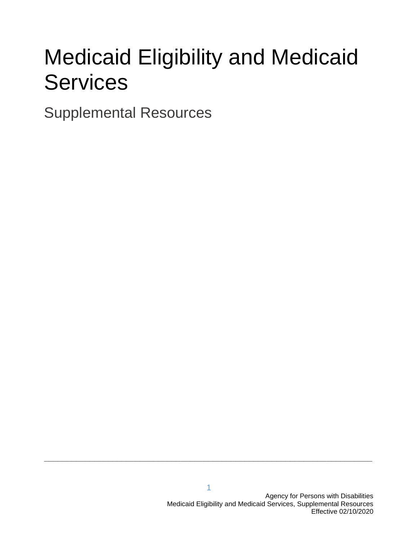# Medicaid Eligibility and Medicaid **Services**

Supplemental Resources

**\_\_\_\_\_\_\_\_\_\_\_\_\_\_\_\_\_\_\_\_\_\_\_\_\_\_\_\_\_\_\_\_\_\_\_\_\_\_\_\_\_\_\_\_\_\_\_\_\_\_\_\_\_\_\_\_\_\_\_\_\_\_\_\_\_\_\_\_\_\_\_\_**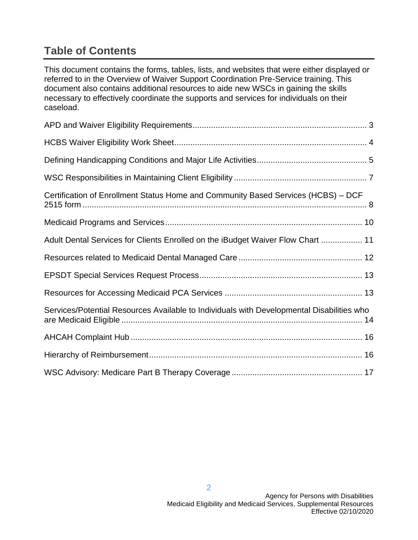### **Table of Contents**

This document contains the forms, tables, lists, and websites that were either displayed or referred to in the Overview of Waiver Support Coordination Pre-Service training. This document also contains additional resources to aide new WSCs in gaining the skills necessary to effectively coordinate the supports and services for individuals on their caseload.

| Certification of Enrollment Status Home and Community Based Services (HCBS) - DCF         |
|-------------------------------------------------------------------------------------------|
|                                                                                           |
| Adult Dental Services for Clients Enrolled on the iBudget Waiver Flow Chart  11           |
|                                                                                           |
|                                                                                           |
|                                                                                           |
| Services/Potential Resources Available to Individuals with Developmental Disabilities who |
|                                                                                           |
|                                                                                           |
|                                                                                           |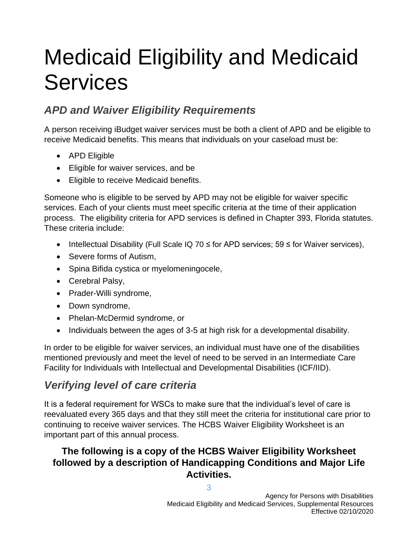# Medicaid Eligibility and Medicaid **Services**

### *APD and Waiver Eligibility Requirements*

A person receiving iBudget waiver services must be both a client of APD and be eligible to receive Medicaid benefits. This means that individuals on your caseload must be:

- APD Eligible
- Eligible for waiver services, and be
- Eligible to receive Medicaid benefits.

Someone who is eligible to be served by APD may not be eligible for waiver specific services. Each of your clients must meet specific criteria at the time of their application process. The eligibility criteria for APD services is defined in Chapter 393, Florida statutes. These criteria include:

- Intellectual Disability (Full Scale IQ 70  $\leq$  for APD services; 59  $\leq$  for Waiver services),
- Severe forms of Autism,
- Spina Bifida cystica or myelomeningocele,
- Cerebral Palsy,
- Prader-Willi syndrome,
- Down syndrome,
- Phelan-McDermid syndrome, or
- Individuals between the ages of 3-5 at high risk for a developmental disability.

In order to be eligible for waiver services, an individual must have one of the disabilities mentioned previously and meet the level of need to be served in an Intermediate Care Facility for Individuals with Intellectual and Developmental Disabilities (ICF/IID).

### *Verifying level of care criteria*

It is a federal requirement for WSCs to make sure that the individual's level of care is reevaluated every 365 days and that they still meet the criteria for institutional care prior to continuing to receive waiver services. The HCBS Waiver Eligibility Worksheet is an important part of this annual process.

### **The following is a copy of the HCBS Waiver Eligibility Worksheet followed by a description of Handicapping Conditions and Major Life Activities.**

3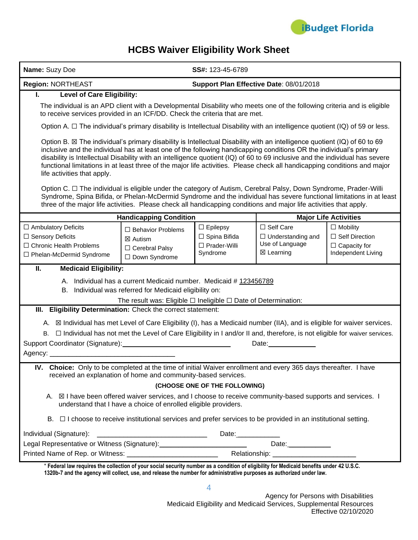

### **HCBS Waiver Eligibility Work Sheet**

| Name: Suzy Doe                                                                                                                                                                                                                                                                                                                                                                                                                                                                                                                              |                                                                                                                                                                                                   | SS#: 123-45-6789                                                        |                                                                          |                                                                                       |
|---------------------------------------------------------------------------------------------------------------------------------------------------------------------------------------------------------------------------------------------------------------------------------------------------------------------------------------------------------------------------------------------------------------------------------------------------------------------------------------------------------------------------------------------|---------------------------------------------------------------------------------------------------------------------------------------------------------------------------------------------------|-------------------------------------------------------------------------|--------------------------------------------------------------------------|---------------------------------------------------------------------------------------|
| Region: NORTHEAST                                                                                                                                                                                                                                                                                                                                                                                                                                                                                                                           |                                                                                                                                                                                                   |                                                                         | Support Plan Effective Date: 08/01/2018                                  |                                                                                       |
| <b>Level of Care Eligibility:</b><br>L.                                                                                                                                                                                                                                                                                                                                                                                                                                                                                                     |                                                                                                                                                                                                   |                                                                         |                                                                          |                                                                                       |
| The individual is an APD client with a Developmental Disability who meets one of the following criteria and is eligible<br>to receive services provided in an ICF/DD. Check the criteria that are met.                                                                                                                                                                                                                                                                                                                                      |                                                                                                                                                                                                   |                                                                         |                                                                          |                                                                                       |
| Option A. $\Box$ The individual's primary disability is Intellectual Disability with an intelligence quotient (IQ) of 59 or less.                                                                                                                                                                                                                                                                                                                                                                                                           |                                                                                                                                                                                                   |                                                                         |                                                                          |                                                                                       |
| Option B. ⊠ The individual's primary disability is Intellectual Disability with an intelligence quotient (IQ) of 60 to 69<br>inclusive and the individual has at least one of the following handicapping conditions OR the individual's primary<br>disability is Intellectual Disability with an intelligence quotient (IQ) of 60 to 69 inclusive and the individual has severe<br>functional limitations in at least three of the major life activities. Please check all handicapping conditions and major<br>life activities that apply. |                                                                                                                                                                                                   |                                                                         |                                                                          |                                                                                       |
| Option C. □ The individual is eligible under the category of Autism, Cerebral Palsy, Down Syndrome, Prader-Willi<br>Syndrome, Spina Bifida, or Phelan-McDermid Syndrome and the individual has severe functional limitations in at least<br>three of the major life activities. Please check all handicapping conditions and major life activities that apply.                                                                                                                                                                              |                                                                                                                                                                                                   |                                                                         |                                                                          |                                                                                       |
|                                                                                                                                                                                                                                                                                                                                                                                                                                                                                                                                             | <b>Handicapping Condition</b>                                                                                                                                                                     |                                                                         |                                                                          | <b>Major Life Activities</b>                                                          |
| $\Box$ Ambulatory Deficits<br>□ Sensory Deficits<br>□ Chronic Health Problems<br>□ Phelan-McDermid Syndrome                                                                                                                                                                                                                                                                                                                                                                                                                                 | $\Box$ Behavior Problems<br>⊠ Autism<br>□ Cerebral Palsy<br>□ Down Syndrome                                                                                                                       | $\Box$ Epilepsy<br>□ Spina Bifida<br>$\square$ Prader-Willi<br>Syndrome | □ Self Care<br>$\Box$ Understanding and<br>Use of Language<br>⊠ Learning | $\Box$ Mobility<br>$\Box$ Self Direction<br>$\Box$ Capacity for<br>Independent Living |
| Ш.<br><b>Medicaid Eligibility:</b>                                                                                                                                                                                                                                                                                                                                                                                                                                                                                                          |                                                                                                                                                                                                   |                                                                         |                                                                          |                                                                                       |
| А.<br>В.                                                                                                                                                                                                                                                                                                                                                                                                                                                                                                                                    | Individual has a current Medicaid number. Medicaid #123456789<br>Individual was referred for Medicaid eligibility on:<br>The result was: Eligible $\Box$ Ineligible $\Box$ Date of Determination: |                                                                         |                                                                          |                                                                                       |
| III. Eligibility Determination: Check the correct statement:                                                                                                                                                                                                                                                                                                                                                                                                                                                                                |                                                                                                                                                                                                   |                                                                         |                                                                          |                                                                                       |
| A. <b>X</b> Individual has met Level of Care Eligibility (I), has a Medicaid number (IIA), and is eligible for waiver services.<br>В.                                                                                                                                                                                                                                                                                                                                                                                                       | $\Box$ Individual has not met the Level of Care Eligibility in I and/or II and, therefore, is not eligible for waiver services.                                                                   |                                                                         | Date: $\sqrt{ }$                                                         |                                                                                       |
| IV. Choice: Only to be completed at the time of initial Waiver enrollment and every 365 days thereafter. I have                                                                                                                                                                                                                                                                                                                                                                                                                             | received an explanation of home and community-based services.                                                                                                                                     | (CHOOSE ONE OF THE FOLLOWING)                                           |                                                                          |                                                                                       |
| A. ⊠ I have been offered waiver services, and I choose to receive community-based supports and services. I                                                                                                                                                                                                                                                                                                                                                                                                                                  | understand that I have a choice of enrolled eligible providers.                                                                                                                                   |                                                                         |                                                                          |                                                                                       |
|                                                                                                                                                                                                                                                                                                                                                                                                                                                                                                                                             | $B.$ $\Box$ I choose to receive institutional services and prefer services to be provided in an institutional setting.                                                                            |                                                                         |                                                                          |                                                                                       |
|                                                                                                                                                                                                                                                                                                                                                                                                                                                                                                                                             |                                                                                                                                                                                                   | Date: _____________                                                     |                                                                          |                                                                                       |
| Legal Representative or Witness (Signature):__________________________________Date:________________                                                                                                                                                                                                                                                                                                                                                                                                                                         |                                                                                                                                                                                                   |                                                                         |                                                                          |                                                                                       |
|                                                                                                                                                                                                                                                                                                                                                                                                                                                                                                                                             |                                                                                                                                                                                                   |                                                                         |                                                                          |                                                                                       |
| * Federal law requires the collection of your social security number as a condition of eligibility for Medicaid benefits under 42 U.S.C.<br>1320b-7 and the agency will collect, use, and release the number for administrative purposes as authorized under law.                                                                                                                                                                                                                                                                           |                                                                                                                                                                                                   |                                                                         |                                                                          |                                                                                       |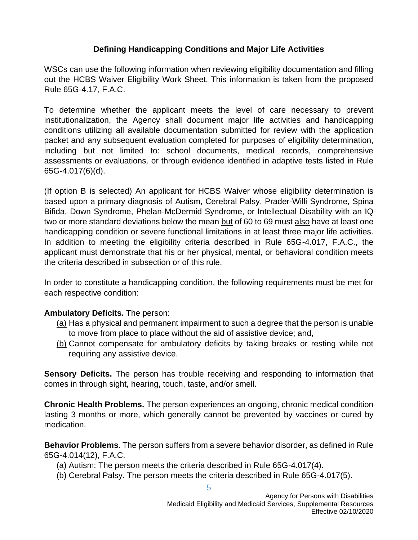### **Defining Handicapping Conditions and Major Life Activities**

WSCs can use the following information when reviewing eligibility documentation and filling out the HCBS Waiver Eligibility Work Sheet. This information is taken from the proposed Rule 65G-4.17, F.A.C.

To determine whether the applicant meets the level of care necessary to prevent institutionalization, the Agency shall document major life activities and handicapping conditions utilizing all available documentation submitted for review with the application packet and any subsequent evaluation completed for purposes of eligibility determination, including but not limited to: school documents, medical records, comprehensive assessments or evaluations*,* or through evidence identified in adaptive tests listed in Rule 65G-4.017(6)(d).

(If option B is selected) An applicant for HCBS Waiver whose eligibility determination is based upon a primary diagnosis of Autism, Cerebral Palsy, Prader-Willi Syndrome, Spina Bifida, Down Syndrome, Phelan-McDermid Syndrome, or Intellectual Disability with an IQ two or more standard deviations below the mean but of 60 to 69 must also have at least one handicapping condition or severe functional limitations in at least three major life activities. In addition to meeting the eligibility criteria described in Rule 65G-4.017, F.A.C., the applicant must demonstrate that his or her physical, mental, or behavioral condition meets the criteria described in subsection or of this rule.

In order to constitute a handicapping condition, the following requirements must be met for each respective condition:

### **Ambulatory Deficits.** The person:

- (a) Has a physical and permanent impairment to such a degree that the person is unable to move from place to place without the aid of assistive device; and,
- (b) Cannot compensate for ambulatory deficits by taking breaks or resting while not requiring any assistive device.

**Sensory Deficits.** The person has trouble receiving and responding to information that comes in through sight, hearing, touch, taste, and/or smell.

**Chronic Health Problems.** The person experiences an ongoing, chronic medical condition lasting 3 months or more, which generally cannot be prevented by vaccines or cured by medication.

**Behavior Problems**. The person suffers from a severe behavior disorder, as defined in Rule 65G-4.014(12), F.A.C.

- (a) Autism: The person meets the criteria described in Rule 65G-4.017(4).
- (b) Cerebral Palsy. The person meets the criteria described in Rule 65G-4.017(5).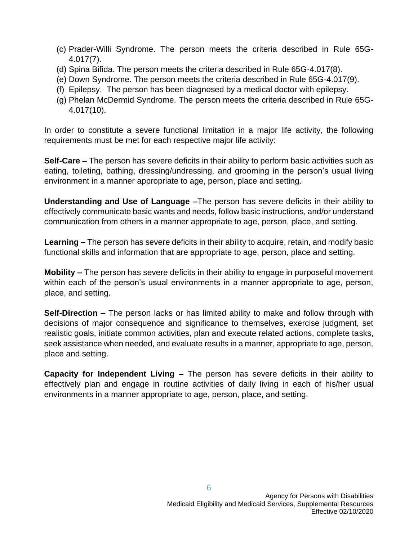- (c) Prader-Willi Syndrome. The person meets the criteria described in Rule 65G-4.017(7).
- (d) Spina Bifida. The person meets the criteria described in Rule 65G-4.017(8).
- (e) Down Syndrome. The person meets the criteria described in Rule 65G-4.017(9).
- (f) Epilepsy. The person has been diagnosed by a medical doctor with epilepsy.
- (g) Phelan McDermid Syndrome. The person meets the criteria described in Rule 65G-4.017(10).

In order to constitute a severe functional limitation in a major life activity, the following requirements must be met for each respective major life activity:

**Self-Care –** The person has severe deficits in their ability to perform basic activities such as eating, toileting, bathing, dressing/undressing, and grooming in the person's usual living environment in a manner appropriate to age, person, place and setting.

**Understanding and Use of Language –**The person has severe deficits in their ability to effectively communicate basic wants and needs, follow basic instructions, and/or understand communication from others in a manner appropriate to age, person, place, and setting.

**Learning –** The person has severe deficits in their ability to acquire, retain, and modify basic functional skills and information that are appropriate to age, person, place and setting.

**Mobility –** The person has severe deficits in their ability to engage in purposeful movement within each of the person's usual environments in a manner appropriate to age, person, place, and setting.

**Self-Direction –** The person lacks or has limited ability to make and follow through with decisions of major consequence and significance to themselves, exercise judgment, set realistic goals, initiate common activities, plan and execute related actions, complete tasks, seek assistance when needed, and evaluate results in a manner, appropriate to age, person, place and setting.

**Capacity for Independent Living –** The person has severe deficits in their ability to effectively plan and engage in routine activities of daily living in each of his/her usual environments in a manner appropriate to age, person, place, and setting.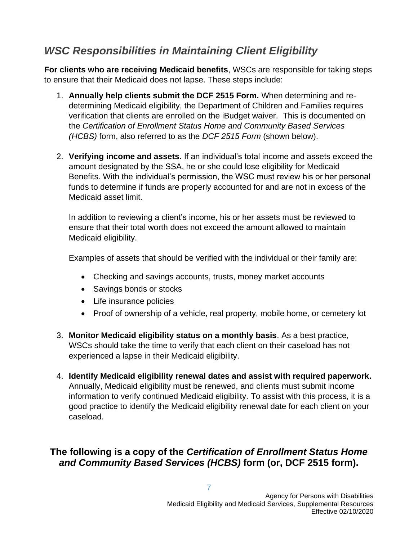### *WSC Responsibilities in Maintaining Client Eligibility*

**For clients who are receiving Medicaid benefits**, WSCs are responsible for taking steps to ensure that their Medicaid does not lapse. These steps include:

- 1. **Annually help clients submit the DCF 2515 Form.** When determining and redetermining Medicaid eligibility, the Department of Children and Families requires verification that clients are enrolled on the iBudget waiver. This is documented on the *Certification of Enrollment Status Home and Community Based Services (HCBS)* form, also referred to as the *DCF 2515 Form* (shown below).
- 2. **Verifying income and assets.** If an individual's total income and assets exceed the amount designated by the SSA, he or she could lose eligibility for Medicaid Benefits. With the individual's permission, the WSC must review his or her personal funds to determine if funds are properly accounted for and are not in excess of the Medicaid asset limit.

In addition to reviewing a client's income, his or her assets must be reviewed to ensure that their total worth does not exceed the amount allowed to maintain Medicaid eligibility.

Examples of assets that should be verified with the individual or their family are:

- Checking and savings accounts, trusts, money market accounts
- Savings bonds or stocks
- Life insurance policies
- Proof of ownership of a vehicle, real property, mobile home, or cemetery lot
- 3. **Monitor Medicaid eligibility status on a monthly basis**. As a best practice, WSCs should take the time to verify that each client on their caseload has not experienced a lapse in their Medicaid eligibility.
- 4. **Identify Medicaid eligibility renewal dates and assist with required paperwork.** Annually, Medicaid eligibility must be renewed, and clients must submit income information to verify continued Medicaid eligibility. To assist with this process, it is a good practice to identify the Medicaid eligibility renewal date for each client on your caseload.

### **The following is a copy of the** *Certification of Enrollment Status Home and Community Based Services (HCBS)* **form (or, DCF 2515 form).**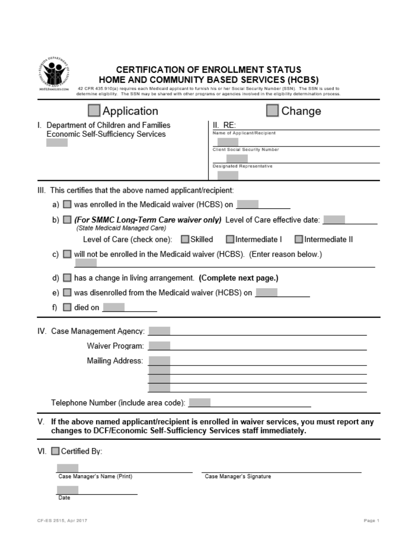| <b>IVELEAMILIES COM</b>                                                                                        | <b>CERTIFICATION OF ENROLLMENT STATUS</b><br>HOME AND COMMUNITY BASED SERVICES (HCBS)<br>42 CFR 435.910(a) requires each Medicald applicant to furnish his or her Social Security Number (SSN). The SSN is used to<br>determine eligibility. The SSN may be shared with other programs or agencies involved in the eligibility determination process. |
|----------------------------------------------------------------------------------------------------------------|-------------------------------------------------------------------------------------------------------------------------------------------------------------------------------------------------------------------------------------------------------------------------------------------------------------------------------------------------------|
| Application                                                                                                    | Change                                                                                                                                                                                                                                                                                                                                                |
| I. Department of Children and Families<br>Economic Self-Sufficiency Services                                   | II. Re:<br>Name of Applicant/Recipient<br>Client Social Security Number                                                                                                                                                                                                                                                                               |
|                                                                                                                | Designated Representative                                                                                                                                                                                                                                                                                                                             |
| III. This certifies that the above named applicant/recipient:                                                  |                                                                                                                                                                                                                                                                                                                                                       |
| ■ was enrolled in the Medicaid waiver (HCBS) on                                                                |                                                                                                                                                                                                                                                                                                                                                       |
| ■ (For SMMC Long-Term Care waiver only) Level of Care effective date:<br>b) L<br>(State Medicaid Managed Care) |                                                                                                                                                                                                                                                                                                                                                       |
| Level of Care (check one): Skilled Intermediate I                                                              | <b>□</b> Intermediate II                                                                                                                                                                                                                                                                                                                              |
| c) ■ will not be enrolled in the Medicaid waiver (HCBS). (Enter reason below.)                                 |                                                                                                                                                                                                                                                                                                                                                       |
| has a change in living arrangement. (Complete next page.)<br>d)                                                |                                                                                                                                                                                                                                                                                                                                                       |
| was disenrolled from the Medicaid waiver (HCBS) on                                                             |                                                                                                                                                                                                                                                                                                                                                       |
| died on                                                                                                        |                                                                                                                                                                                                                                                                                                                                                       |
| IV. Case Management Agency:                                                                                    |                                                                                                                                                                                                                                                                                                                                                       |
| Waiver Program:                                                                                                |                                                                                                                                                                                                                                                                                                                                                       |
| Mailing Address:                                                                                               |                                                                                                                                                                                                                                                                                                                                                       |
|                                                                                                                |                                                                                                                                                                                                                                                                                                                                                       |
|                                                                                                                |                                                                                                                                                                                                                                                                                                                                                       |
| Telephone Number (include area code):                                                                          |                                                                                                                                                                                                                                                                                                                                                       |
| V.<br>changes to DCF/Economic Self-Sufficiency Services staff immediately.                                     | If the above named applicant/recipient is enrolled in waiver services, you must report any                                                                                                                                                                                                                                                            |

VI. Certified By:

Case Manager's Name (Print)

Case Manager's Signature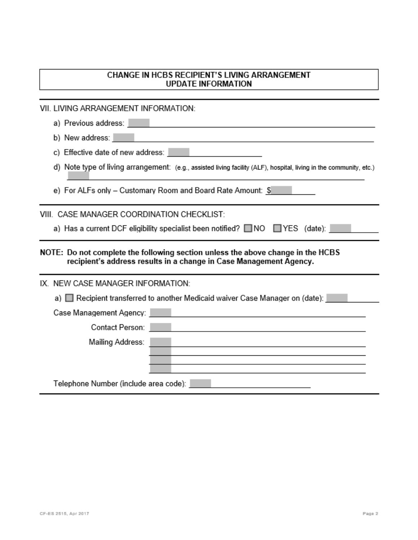### CHANGE IN HCBS RECIPIENT'S LIVING ARRANGEMENT **UPDATE INFORMATION**

VII. LIVING ARRANGEMENT INFORMATION:

| a) Previous address: New York                                                                                                                                                                                                                     |
|---------------------------------------------------------------------------------------------------------------------------------------------------------------------------------------------------------------------------------------------------|
| b) New address: New York<br><u> 1980 - Johann Stoff, amerikansk politiker (* 1908)</u>                                                                                                                                                            |
| c) Effective date of new address: <b>with the set of the set of the set of new address:</b>                                                                                                                                                       |
| d) Note type of living arrangement: (e.g., assisted living facility (ALF), hospital, living in the community, etc.)                                                                                                                               |
| e) For ALFs only – Customary Room and Board Rate Amount: \$                                                                                                                                                                                       |
| VIII. CASE MANAGER COORDINATION CHECKLIST:                                                                                                                                                                                                        |
| a) Has a current DCF eligibility specialist been notified? □ NO □ YES (date): □                                                                                                                                                                   |
| NOTE: Do not complete the following section unless the above change in the HCBS<br>recipient's address results in a change in Case Management Agency.                                                                                             |
| IX. NEW CASE MANAGER INFORMATION:                                                                                                                                                                                                                 |
| a) □ Recipient transferred to another Medicaid waiver Case Manager on (date):                                                                                                                                                                     |
|                                                                                                                                                                                                                                                   |
| Contact Person:                                                                                                                                                                                                                                   |
| Mailing Address:<br>the control of the control of the control of the control of the control of the control of the control of the control of the control of the control of the control of the control of the control of the control of the control |
|                                                                                                                                                                                                                                                   |
|                                                                                                                                                                                                                                                   |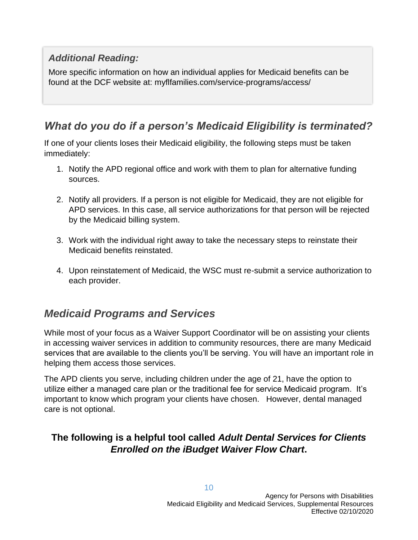### *Additional Reading:*

More specific information on how an individual applies for Medicaid benefits can be found at the DCF website at: myflfamilies.com/service-programs/access/

### *What do you do if a person's Medicaid Eligibility is terminated?*

If one of your clients loses their Medicaid eligibility, the following steps must be taken immediately:

- 1. Notify the APD regional office and work with them to plan for alternative funding sources.
- 2. Notify all providers. If a person is not eligible for Medicaid, they are not eligible for APD services. In this case, all service authorizations for that person will be rejected by the Medicaid billing system.
- 3. Work with the individual right away to take the necessary steps to reinstate their Medicaid benefits reinstated.
- 4. Upon reinstatement of Medicaid, the WSC must re-submit a service authorization to each provider.

### *Medicaid Programs and Services*

While most of your focus as a Waiver Support Coordinator will be on assisting your clients in accessing waiver services in addition to community resources, there are many Medicaid services that are available to the clients you'll be serving. You will have an important role in helping them access those services.

The APD clients you serve, including children under the age of 21, have the option to utilize either a managed care plan or the traditional fee for service Medicaid program. It's important to know which program your clients have chosen. However, dental managed care is not optional.

### **The following is a helpful tool called** *Adult Dental Services for Clients Enrolled on the iBudget Waiver Flow Chart***.**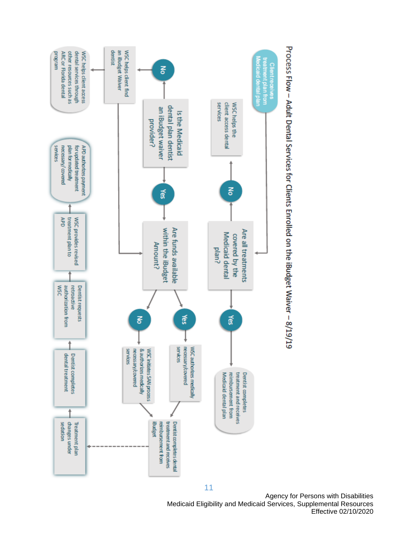



Agency for Persons with Disabilities Medicaid Eligibility and Medicaid Services, Supplemental Resources Effective 02/10/2020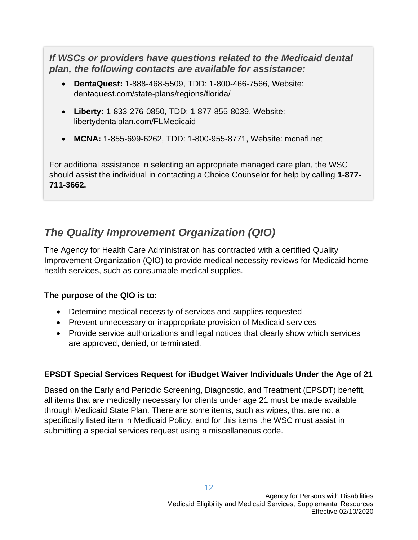*If WSCs or providers have questions related to the Medicaid dental plan, the following contacts are available for assistance:*

- **DentaQuest:** 1-888-468-5509, TDD: 1-800-466-7566, Website: dentaquest.com/state-plans/regions/florida/
- **Liberty:** 1-833-276-0850, TDD: 1-877-855-8039, Website: libertydentalplan.com/FLMedicaid
- **MCNA:** 1-855-699-6262, TDD: 1-800-955-8771, Website: mcnafl.net

For additional assistance in selecting an appropriate managed care plan, the WSC should assist the individual in contacting a Choice Counselor for help by calling **1-877- 711-3662.**

### *The Quality Improvement Organization (QIO)*

The Agency for Health Care Administration has contracted with a certified Quality Improvement Organization (QIO) to provide medical necessity reviews for Medicaid home health services, such as consumable medical supplies.

### **The purpose of the QIO is to:**

- Determine medical necessity of services and supplies requested
- Prevent unnecessary or inappropriate provision of Medicaid services
- Provide service authorizations and legal notices that clearly show which services are approved, denied, or terminated.

### **EPSDT Special Services Request for iBudget Waiver Individuals Under the Age of 21**

Based on the Early and Periodic Screening, Diagnostic, and Treatment (EPSDT) benefit, all items that are medically necessary for clients under age 21 must be made available through Medicaid State Plan. There are some items, such as wipes, that are not a specifically listed item in Medicaid Policy, and for this items the WSC must assist in submitting a special services request using a miscellaneous code.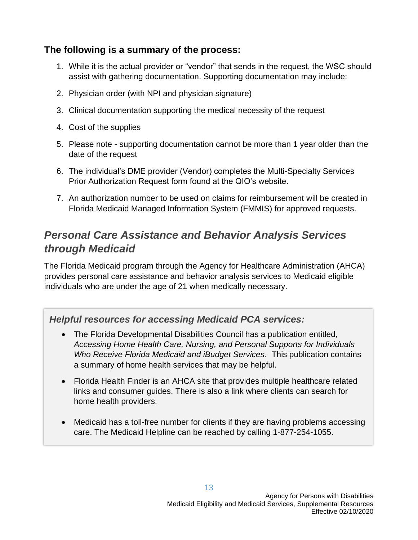### **The following is a summary of the process:**

- 1. While it is the actual provider or "vendor" that sends in the request, the WSC should assist with gathering documentation. Supporting documentation may include:
- 2. Physician order (with NPI and physician signature)
- 3. Clinical documentation supporting the medical necessity of the request
- 4. Cost of the supplies
- 5. Please note supporting documentation cannot be more than 1 year older than the date of the request
- 6. The individual's DME provider (Vendor) completes the Multi-Specialty Services Prior Authorization Request form found at the QIO's website.
- 7. An authorization number to be used on claims for reimbursement will be created in Florida Medicaid Managed Information System (FMMIS) for approved requests.

### *Personal Care Assistance and Behavior Analysis Services through Medicaid*

The Florida Medicaid program through the Agency for Healthcare Administration (AHCA) provides personal care assistance and behavior analysis services to Medicaid eligible individuals who are under the age of 21 when medically necessary.

### *Helpful resources for accessing Medicaid PCA services:*

- The Florida Developmental Disabilities Council has a publication entitled, *Accessing Home Health Care, Nursing, and Personal Supports for Individuals Who Receive Florida Medicaid and iBudget Services.* This publication contains a summary of home health services that may be helpful.
- Florida Health Finder is an AHCA site that provides multiple healthcare related links and consumer guides. There is also a link where clients can search for home health providers.
- Medicaid has a toll-free number for clients if they are having problems accessing care. The Medicaid Helpline can be reached by calling 1-877-254-1055.

13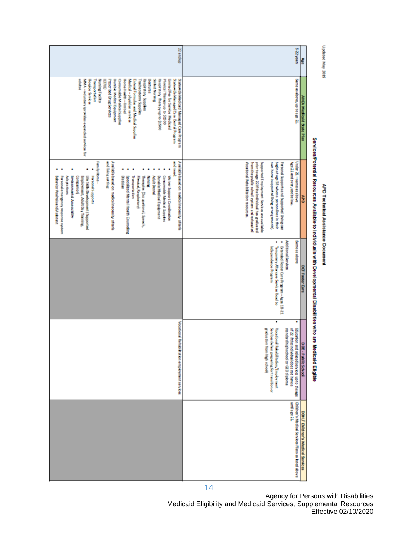Updated May 2019

# APD Technical Assistance Document

# Services/Potential Resources Available to Individuals with Developmental Disabilities who are Medicald Eligible

| Same as above, up to age 21.<br>MMA - vduntary (provides expanded services for<br><b>Hospice Services</b><br>Transportation<br>Nursing Facility<br>Prescribed Drug Services<br><b>Durable Medical Equipment</b><br>Home Hang-Hinter<br>Medical - physician services<br>Dentures<br>Silled Nursing<br>SateMobile Managed Care Dental Program<br>Satewide Medicald Managed Care Program<br>Ě<br>Consumable Medical Supplies<br>Enteral Formulas and Medical Supplies<br>Tracheostomy Supplies<br>Respiratory Supplies<br>Respiration Therapy up to \$1500<br>Physical Therapy up to \$2500<br>Î<br><b>Limited Fee for Service Prediction</b><br>AHCA Medicald State Plan<br>Family Home -<br>and need:<br>and living setting:<br>Available based on medical necessity criteria<br>Available based on medical necessity criteria<br>Under 21 - same as above<br><b>Vocational Rehabilitation resources.</b><br>from the public-school system and exhausted<br>Supported Employment Services are available<br>own home (supported living arrangements).<br>bagin at age 18 when a person lives in their<br>Age 21 and over, see below<br>prior to age 22 if the individual has graduated<br>Personal Supports and Supported Living can<br>Life Skills Development (Supported<br><b>Personal Supports</b><br>Comumable Medical Supplies<br>Walver Support Coordination<br>Personal emergency response system<br><b>Employment, Adult Day Training,</b><br>Dietician<br>Durable Medical Equipment<br>Adaptations<br>Environmental Accessibility<br>Companion<br>Fity site of, Respiration V)<br>Behavior Analysis and Assistant<br>Section Mental Hearth Counseling<br><b>Transportation</b><br>Therefore (Occupational, Speech,<br><b>Mussical</b><br>Adult Dental<br>29<br>Sameassabove<br>٠<br>Additional Services<br>Extended Foster Care Program - Ages 18-21<br>Temporary Aftercare Services Road to<br>Independence Rogram<br>DOF Foster Care<br>٠<br>٠<br>Voortond Rehabilisation employment services<br>graduation from high schod)<br>of 22 if the individual does not have a<br>Education and related services up to the age<br>Vocational Rehabilitation/Employment<br>standard high school or GED diploma<br>Services (when preparing for translation or<br>DOE - Public School<br>Children's Medical Services Plans as listed above<br>maliage 21.<br>DOH / Children's Medical Services | 33 and up | S-22 years<br>Ř |  |
|-------------------------------------------------------------------------------------------------------------------------------------------------------------------------------------------------------------------------------------------------------------------------------------------------------------------------------------------------------------------------------------------------------------------------------------------------------------------------------------------------------------------------------------------------------------------------------------------------------------------------------------------------------------------------------------------------------------------------------------------------------------------------------------------------------------------------------------------------------------------------------------------------------------------------------------------------------------------------------------------------------------------------------------------------------------------------------------------------------------------------------------------------------------------------------------------------------------------------------------------------------------------------------------------------------------------------------------------------------------------------------------------------------------------------------------------------------------------------------------------------------------------------------------------------------------------------------------------------------------------------------------------------------------------------------------------------------------------------------------------------------------------------------------------------------------------------------------------------------------------------------------------------------------------------------------------------------------------------------------------------------------------------------------------------------------------------------------------------------------------------------------------------------------------------------------------------------------------------------------------------------------------------------------------------------------------------------------------------------------------------------------------------|-----------|-----------------|--|
|                                                                                                                                                                                                                                                                                                                                                                                                                                                                                                                                                                                                                                                                                                                                                                                                                                                                                                                                                                                                                                                                                                                                                                                                                                                                                                                                                                                                                                                                                                                                                                                                                                                                                                                                                                                                                                                                                                                                                                                                                                                                                                                                                                                                                                                                                                                                                                                                 |           |                 |  |
|                                                                                                                                                                                                                                                                                                                                                                                                                                                                                                                                                                                                                                                                                                                                                                                                                                                                                                                                                                                                                                                                                                                                                                                                                                                                                                                                                                                                                                                                                                                                                                                                                                                                                                                                                                                                                                                                                                                                                                                                                                                                                                                                                                                                                                                                                                                                                                                                 |           |                 |  |
|                                                                                                                                                                                                                                                                                                                                                                                                                                                                                                                                                                                                                                                                                                                                                                                                                                                                                                                                                                                                                                                                                                                                                                                                                                                                                                                                                                                                                                                                                                                                                                                                                                                                                                                                                                                                                                                                                                                                                                                                                                                                                                                                                                                                                                                                                                                                                                                                 |           |                 |  |
|                                                                                                                                                                                                                                                                                                                                                                                                                                                                                                                                                                                                                                                                                                                                                                                                                                                                                                                                                                                                                                                                                                                                                                                                                                                                                                                                                                                                                                                                                                                                                                                                                                                                                                                                                                                                                                                                                                                                                                                                                                                                                                                                                                                                                                                                                                                                                                                                 |           |                 |  |
|                                                                                                                                                                                                                                                                                                                                                                                                                                                                                                                                                                                                                                                                                                                                                                                                                                                                                                                                                                                                                                                                                                                                                                                                                                                                                                                                                                                                                                                                                                                                                                                                                                                                                                                                                                                                                                                                                                                                                                                                                                                                                                                                                                                                                                                                                                                                                                                                 |           |                 |  |

Agency for Persons with Disabilities Medicaid Eligibility and Medicaid Services, Supplemental Resources Effective 02/10/2020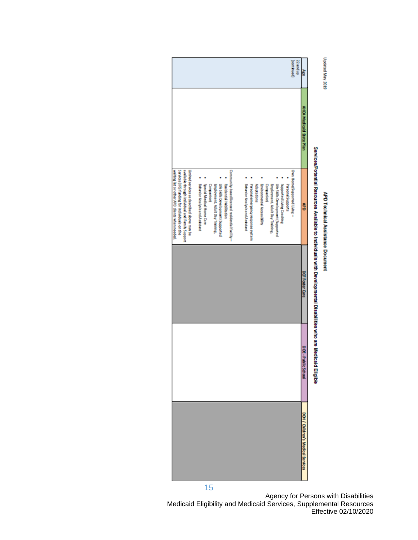# Updated May 2019

# APD Technical Assistance Document

| Ř                       | AHCA Medicald State Plan | Services/Potential Resources Available to Individuals with Developmental Disabilities who are Medicald Eligible<br>š                                                                                                                                                                                                                                                                                                                                                                                                                                               | DOF Foster Care | <b>DOW-PO</b><br><b>Mic School</b> | DOH / Oildren's Medical Services |
|-------------------------|--------------------------|--------------------------------------------------------------------------------------------------------------------------------------------------------------------------------------------------------------------------------------------------------------------------------------------------------------------------------------------------------------------------------------------------------------------------------------------------------------------------------------------------------------------------------------------------------------------|-----------------|------------------------------------|----------------------------------|
|                         |                          |                                                                                                                                                                                                                                                                                                                                                                                                                                                                                                                                                                    |                 |                                    |                                  |
| (bentunco)<br>S2 and up |                          | Community-based licensed residental facility -<br>Own Home/Supported Uving -<br><b>Employment, Adult Day Training,</b><br>Life Skils Development (Supported<br>Behavior Analysis and Assistant<br>Personal emitrepency respective system<br>Adaptations<br><b>Environmental Accessibility</b><br><b>Employment, Adult Day Training,</b><br>Supported Living Coaching<br><b>Personal Supports</b><br>Behavior Analysis and Assistant<br>Special Medical Home Care<br>Companion<br>Residential Habilitation<br><b>Ufe Skills Development (Supported</b><br>Companion |                 |                                    | 15                               |
|                         |                          | available through individual and Family Support<br>Dimistral serial center de schedulite di 特の本 目覚 Ee                                                                                                                                                                                                                                                                                                                                                                                                                                                              |                 |                                    |                                  |
|                         |                          | Sevices (IFS) funding for individuals contine                                                                                                                                                                                                                                                                                                                                                                                                                                                                                                                      |                 |                                    |                                  |
|                         |                          | waiting list or other APD clents when needed.                                                                                                                                                                                                                                                                                                                                                                                                                                                                                                                      |                 |                                    |                                  |

Agency for Persons with Disabilities Medicaid Eligibility and Medicaid Services, Supplemental Resources Effective 02/10/2020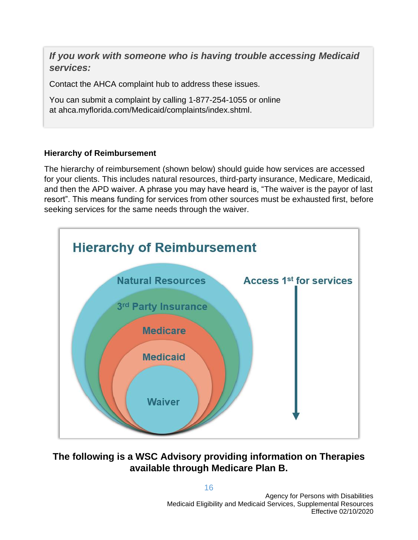*If you work with someone who is having trouble accessing Medicaid services:* 

Contact the AHCA complaint hub to address these issues.

You can submit a complaint by calling 1-877-254-1055 or online at ahca.myflorida.com/Medicaid/complaints/index.shtml.

### **Hierarchy of Reimbursement**

The hierarchy of reimbursement (shown below) should guide how services are accessed for your clients. This includes natural resources, third-party insurance, Medicare, Medicaid, and then the APD waiver. A phrase you may have heard is, "The waiver is the payor of last resort". This means funding for services from other sources must be exhausted first, before seeking services for the same needs through the waiver.



### **The following is a WSC Advisory providing information on Therapies available through Medicare Plan B.**

16